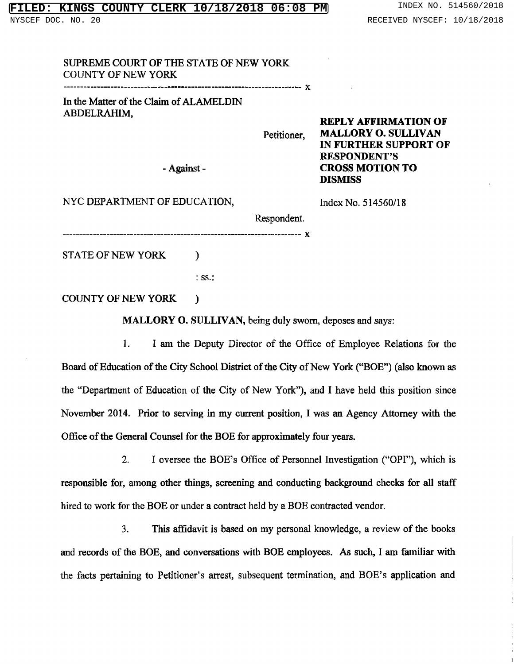SUPREME COURT OF THE STATE OF NEW YORK COUNTY OF NEW YORK

\_\_\_\_\_\_\_------\_\_\_\_\_\_\_\_\_\_\_\_\_ \_\_\_ ¬-- x

In the Matter of the Claim of ALAMELDIN ABDELRAHIM,

Petitioner, MALLORY 0. SULLIVAN

- Against - CROSS MOTION TO

NYC DEPARTMENT OF EDUCATION, Index No. 514560/18

RESPONDENT'S

DISMISS

REPLY AFFIRMATION OF

IN FURTHER SUPPORT OF

Respondent. -------------- **x** 

STATE OF NEW YORK  $\qquad$  )

: ss.:

COUNTY OF NEW YORK )

MALLORY O. SULLIVAN, being duly sworn, deposes and says:

1. <sup>I</sup> am the Deputy Director of the Office of Employee Relations for the Board of Education of the City School District of the City of New York ("BOE") (also known as the "Department of Education of the City of New York"), and <sup>I</sup> have held this position since November 2014. Prior to serving in my current position, <sup>I</sup> was an Agency Attorney with the Office of the General Counsel for the BOE for approximately four years.

2. I oversee the BOE's Office of Personnel Investigation ("OPI"), which is responsible for, among other things, screening and conducting background checks for all staff hired to work for the BOE or under <sup>a</sup> contract held by <sup>a</sup> BOE contracted vendor.

3. This affidavit is based on my personal knowledge, a review of the books and records of the BOE, and conversations with BOE employees. As such, I am familiar with the facts pertaining to Petitioner's arrest, subsequent termination, and BOE's application and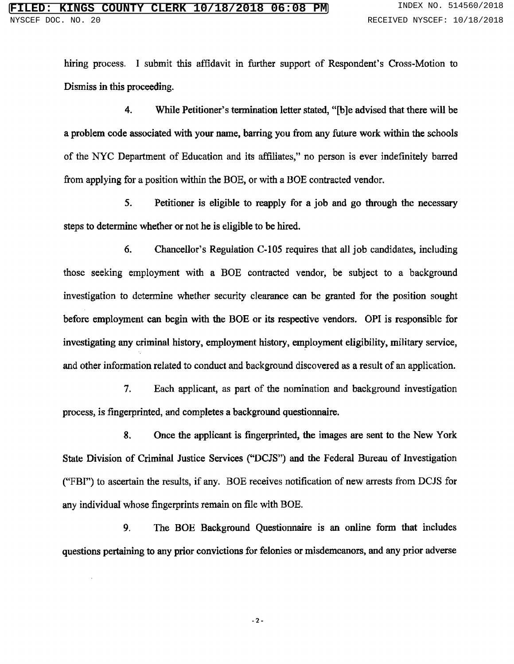hiring process. I submit this affidavit in further support of Respondent's Cross-Motion to Dismiss in this proceeding.

4. While Petitioner's termination letter stated, "[b]e advised that there will be a problem code associated with your name, barring you from any future work within the schools of the NYC Department of Education and its affiliates," no person is ever indefinitely barr from applying for a position within the BOE, or with a BOE contracted vendor.

5. Petitioner is eligible to reapply for a job and go through the necessary steps to determine whether or not he is eligible to be hired.

6. Chancellor's Regulation C-105 requires that all job candidates, including those seeking employment with a BOE contracted vendor, be subject to a background investigation to determine whether security clearance can be granted for the position sought before employment can begin with the BOE or its respective vendors. OPI is responsible for investigating any criminal history, employment history, employment eligibility, military service, and other information related to conduct and background discovered as a result of an application.

7. Each applicant, as part of the nomination and background investigation process, is fingerprinted, and completes a background questionnaire.

8. Once the applicant is fingerprinted, the images are sent to the New York State Division of Criminal Justice Services ("DCJS") and the Federal Bureau of Investigation ("FBI") to ascertain the results, if any. BOE receives notification of new arrests from DCJS for any individual whose fingerprints remain on file with BOE.

9. The BOE Background Questionnaire is an online form that includes questions pertaining to any prior convictions for felonies or misdemeanors, and any prior adverse

-2-